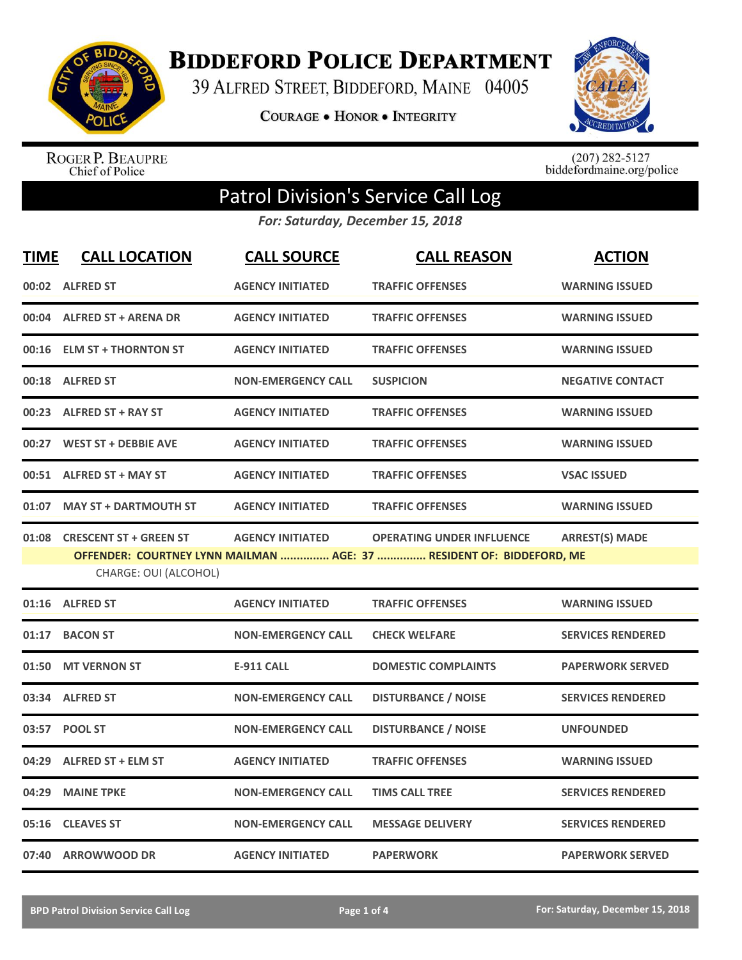

**BIDDEFORD POLICE DEPARTMENT** 

39 ALFRED STREET, BIDDEFORD, MAINE 04005

**COURAGE . HONOR . INTEGRITY** 



ROGER P. BEAUPRE<br>Chief of Police

 $(207)$  282-5127<br>biddefordmaine.org/police

## Patrol Division's Service Call Log

*For: Saturday, December 15, 2018*

| <b>TIME</b> | <b>CALL LOCATION</b>                                  | <b>CALL SOURCE</b>        | <b>CALL REASON</b>                                                                                       | <b>ACTION</b>            |
|-------------|-------------------------------------------------------|---------------------------|----------------------------------------------------------------------------------------------------------|--------------------------|
|             | 00:02 ALFRED ST                                       | <b>AGENCY INITIATED</b>   | <b>TRAFFIC OFFENSES</b>                                                                                  | <b>WARNING ISSUED</b>    |
|             | 00:04 ALFRED ST + ARENA DR                            | <b>AGENCY INITIATED</b>   | <b>TRAFFIC OFFENSES</b>                                                                                  | <b>WARNING ISSUED</b>    |
|             | 00:16 ELM ST + THORNTON ST                            | <b>AGENCY INITIATED</b>   | <b>TRAFFIC OFFENSES</b>                                                                                  | <b>WARNING ISSUED</b>    |
|             | 00:18 ALFRED ST                                       | <b>NON-EMERGENCY CALL</b> | <b>SUSPICION</b>                                                                                         | <b>NEGATIVE CONTACT</b>  |
|             | 00:23 ALFRED ST + RAY ST                              | <b>AGENCY INITIATED</b>   | <b>TRAFFIC OFFENSES</b>                                                                                  | <b>WARNING ISSUED</b>    |
|             | 00:27 WEST ST + DEBBIE AVE                            | <b>AGENCY INITIATED</b>   | <b>TRAFFIC OFFENSES</b>                                                                                  | <b>WARNING ISSUED</b>    |
|             | 00:51 ALFRED ST + MAY ST                              | <b>AGENCY INITIATED</b>   | <b>TRAFFIC OFFENSES</b>                                                                                  | <b>VSAC ISSUED</b>       |
|             | 01:07 MAY ST + DARTMOUTH ST                           | <b>AGENCY INITIATED</b>   | <b>TRAFFIC OFFENSES</b>                                                                                  | <b>WARNING ISSUED</b>    |
|             | 01:08 CRESCENT ST + GREEN ST<br>CHARGE: OUI (ALCOHOL) | <b>AGENCY INITIATED</b>   | <b>OPERATING UNDER INFLUENCE</b><br>OFFENDER: COURTNEY LYNN MAILMAN  AGE: 37  RESIDENT OF: BIDDEFORD, ME | <b>ARREST(S) MADE</b>    |
|             | 01:16 ALFRED ST                                       | <b>AGENCY INITIATED</b>   | <b>TRAFFIC OFFENSES</b>                                                                                  | <b>WARNING ISSUED</b>    |
|             | 01:17 BACON ST                                        | <b>NON-EMERGENCY CALL</b> | <b>CHECK WELFARE</b>                                                                                     | <b>SERVICES RENDERED</b> |
|             | 01:50 MT VERNON ST                                    | <b>E-911 CALL</b>         | <b>DOMESTIC COMPLAINTS</b>                                                                               | <b>PAPERWORK SERVED</b>  |
|             | 03:34 ALFRED ST                                       | <b>NON-EMERGENCY CALL</b> | <b>DISTURBANCE / NOISE</b>                                                                               | <b>SERVICES RENDERED</b> |
|             | 03:57 POOL ST                                         | <b>NON-EMERGENCY CALL</b> | <b>DISTURBANCE / NOISE</b>                                                                               | <b>UNFOUNDED</b>         |
|             | 04:29 ALFRED ST + ELM ST                              | <b>AGENCY INITIATED</b>   | <b>TRAFFIC OFFENSES</b>                                                                                  | <b>WARNING ISSUED</b>    |
| 04:29       | <b>MAINE TPKE</b>                                     | <b>NON-EMERGENCY CALL</b> | <b>TIMS CALL TREE</b>                                                                                    | <b>SERVICES RENDERED</b> |
| 05:16       | <b>CLEAVES ST</b>                                     | <b>NON-EMERGENCY CALL</b> | <b>MESSAGE DELIVERY</b>                                                                                  | <b>SERVICES RENDERED</b> |
|             | 07:40 ARROWWOOD DR                                    | <b>AGENCY INITIATED</b>   | <b>PAPERWORK</b>                                                                                         | <b>PAPERWORK SERVED</b>  |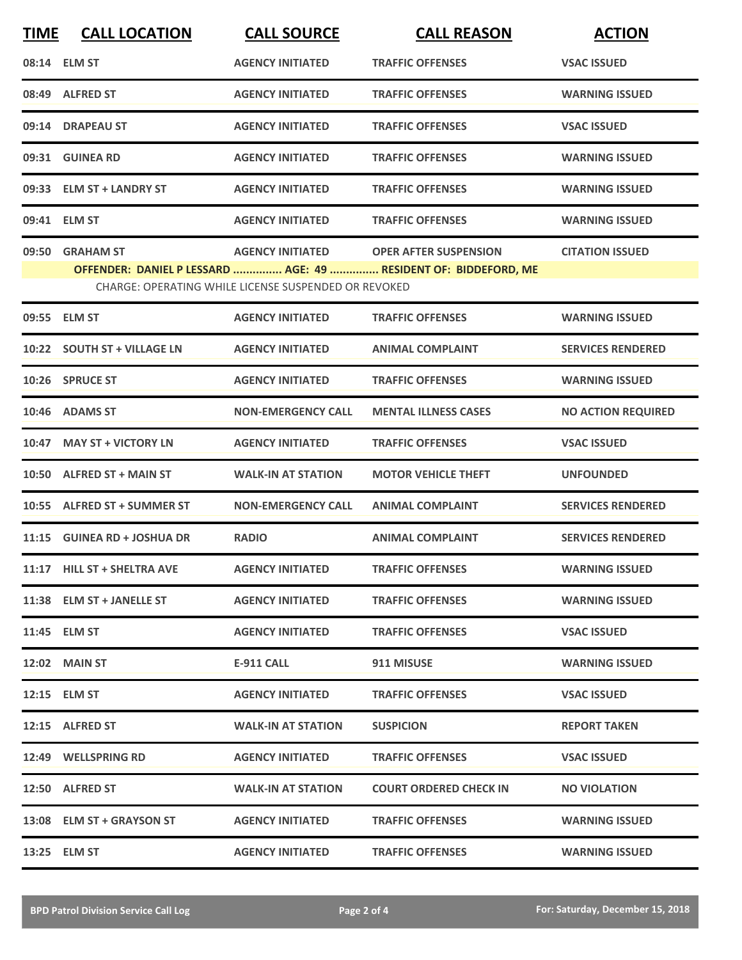| <b>TIME</b> | <b>CALL LOCATION</b>        | <b>CALL SOURCE</b>                                   | <b>CALL REASON</b>                                              | <b>ACTION</b>             |
|-------------|-----------------------------|------------------------------------------------------|-----------------------------------------------------------------|---------------------------|
|             | 08:14 ELM ST                | <b>AGENCY INITIATED</b>                              | <b>TRAFFIC OFFENSES</b>                                         | <b>VSAC ISSUED</b>        |
|             | 08:49 ALFRED ST             | <b>AGENCY INITIATED</b>                              | <b>TRAFFIC OFFENSES</b>                                         | <b>WARNING ISSUED</b>     |
|             | 09:14 DRAPEAU ST            | <b>AGENCY INITIATED</b>                              | <b>TRAFFIC OFFENSES</b>                                         | <b>VSAC ISSUED</b>        |
|             | 09:31 GUINEA RD             | <b>AGENCY INITIATED</b>                              | <b>TRAFFIC OFFENSES</b>                                         | <b>WARNING ISSUED</b>     |
|             | 09:33 ELM ST + LANDRY ST    | <b>AGENCY INITIATED</b>                              | <b>TRAFFIC OFFENSES</b>                                         | <b>WARNING ISSUED</b>     |
|             | 09:41 ELM ST                | <b>AGENCY INITIATED</b>                              | <b>TRAFFIC OFFENSES</b>                                         | <b>WARNING ISSUED</b>     |
|             | 09:50 GRAHAM ST             | <b>AGENCY INITIATED</b>                              | <b>OPER AFTER SUSPENSION</b>                                    | <b>CITATION ISSUED</b>    |
|             |                             |                                                      | OFFENDER: DANIEL P LESSARD  AGE: 49  RESIDENT OF: BIDDEFORD, ME |                           |
|             |                             | CHARGE: OPERATING WHILE LICENSE SUSPENDED OR REVOKED |                                                                 |                           |
|             | 09:55 ELM ST                | <b>AGENCY INITIATED</b>                              | <b>TRAFFIC OFFENSES</b>                                         | <b>WARNING ISSUED</b>     |
|             | 10:22 SOUTH ST + VILLAGE LN | <b>AGENCY INITIATED</b>                              | <b>ANIMAL COMPLAINT</b>                                         | <b>SERVICES RENDERED</b>  |
|             | 10:26 SPRUCE ST             | <b>AGENCY INITIATED</b>                              | <b>TRAFFIC OFFENSES</b>                                         | <b>WARNING ISSUED</b>     |
|             | 10:46 ADAMS ST              | <b>NON-EMERGENCY CALL</b>                            | <b>MENTAL ILLNESS CASES</b>                                     | <b>NO ACTION REQUIRED</b> |
| 10:47       | <b>MAY ST + VICTORY LN</b>  | <b>AGENCY INITIATED</b>                              | <b>TRAFFIC OFFENSES</b>                                         | <b>VSAC ISSUED</b>        |
|             | 10:50 ALFRED ST + MAIN ST   | <b>WALK-IN AT STATION</b>                            | <b>MOTOR VEHICLE THEFT</b>                                      | <b>UNFOUNDED</b>          |
|             | 10:55 ALFRED ST + SUMMER ST | <b>NON-EMERGENCY CALL</b>                            | <b>ANIMAL COMPLAINT</b>                                         | <b>SERVICES RENDERED</b>  |
|             | 11:15 GUINEA RD + JOSHUA DR | <b>RADIO</b>                                         | <b>ANIMAL COMPLAINT</b>                                         | <b>SERVICES RENDERED</b>  |
|             | 11:17 HILL ST + SHELTRA AVE | <b>AGENCY INITIATED</b>                              | <b>TRAFFIC OFFENSES</b>                                         | <b>WARNING ISSUED</b>     |
|             | 11:38 ELM ST + JANELLE ST   | <b>AGENCY INITIATED</b>                              | <b>TRAFFIC OFFENSES</b>                                         | <b>WARNING ISSUED</b>     |
|             | 11:45 ELM ST                | <b>AGENCY INITIATED</b>                              | <b>TRAFFIC OFFENSES</b>                                         | <b>VSAC ISSUED</b>        |
|             | <b>12:02 MAIN ST</b>        | E-911 CALL                                           | 911 MISUSE                                                      | <b>WARNING ISSUED</b>     |
|             | 12:15 ELM ST                | <b>AGENCY INITIATED</b>                              | <b>TRAFFIC OFFENSES</b>                                         | <b>VSAC ISSUED</b>        |
|             | 12:15 ALFRED ST             | <b>WALK-IN AT STATION</b>                            | <b>SUSPICION</b>                                                | <b>REPORT TAKEN</b>       |
|             | 12:49 WELLSPRING RD         | <b>AGENCY INITIATED</b>                              | <b>TRAFFIC OFFENSES</b>                                         | <b>VSAC ISSUED</b>        |
|             | 12:50 ALFRED ST             | <b>WALK-IN AT STATION</b>                            | <b>COURT ORDERED CHECK IN</b>                                   | <b>NO VIOLATION</b>       |
|             | 13:08 ELM ST + GRAYSON ST   | <b>AGENCY INITIATED</b>                              | <b>TRAFFIC OFFENSES</b>                                         | <b>WARNING ISSUED</b>     |
|             | 13:25 ELM ST                | <b>AGENCY INITIATED</b>                              | <b>TRAFFIC OFFENSES</b>                                         | <b>WARNING ISSUED</b>     |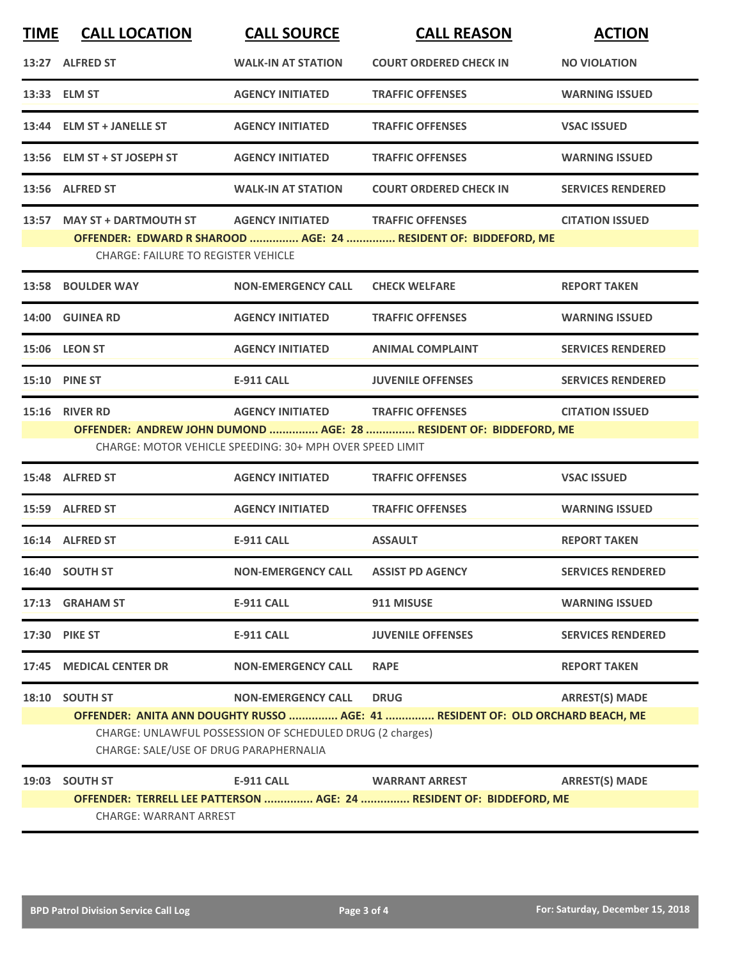| <b>TIME</b>                                                                                                                                                                                                    | <b>CALL LOCATION</b>                                                                                                                                                                                                                                                          | <b>CALL SOURCE</b>        | <b>CALL REASON</b>                                                                            | <b>ACTION</b>            |  |  |
|----------------------------------------------------------------------------------------------------------------------------------------------------------------------------------------------------------------|-------------------------------------------------------------------------------------------------------------------------------------------------------------------------------------------------------------------------------------------------------------------------------|---------------------------|-----------------------------------------------------------------------------------------------|--------------------------|--|--|
|                                                                                                                                                                                                                | 13:27 ALFRED ST                                                                                                                                                                                                                                                               | <b>WALK-IN AT STATION</b> | <b>COURT ORDERED CHECK IN</b>                                                                 | <b>NO VIOLATION</b>      |  |  |
|                                                                                                                                                                                                                | 13:33 ELM ST                                                                                                                                                                                                                                                                  | <b>AGENCY INITIATED</b>   | <b>TRAFFIC OFFENSES</b>                                                                       | <b>WARNING ISSUED</b>    |  |  |
|                                                                                                                                                                                                                | 13:44 ELM ST + JANELLE ST                                                                                                                                                                                                                                                     | <b>AGENCY INITIATED</b>   | <b>TRAFFIC OFFENSES</b>                                                                       | <b>VSAC ISSUED</b>       |  |  |
|                                                                                                                                                                                                                | 13:56 ELM ST + ST JOSEPH ST                                                                                                                                                                                                                                                   | <b>AGENCY INITIATED</b>   | <b>TRAFFIC OFFENSES</b>                                                                       | <b>WARNING ISSUED</b>    |  |  |
|                                                                                                                                                                                                                | 13:56 ALFRED ST                                                                                                                                                                                                                                                               | <b>WALK-IN AT STATION</b> | <b>COURT ORDERED CHECK IN</b>                                                                 | <b>SERVICES RENDERED</b> |  |  |
|                                                                                                                                                                                                                | 13:57 MAY ST + DARTMOUTH ST<br><b>AGENCY INITIATED</b><br><b>TRAFFIC OFFENSES</b><br><b>CITATION ISSUED</b><br>OFFENDER: EDWARD R SHAROOD  AGE: 24  RESIDENT OF: BIDDEFORD, ME<br><b>CHARGE: FAILURE TO REGISTER VEHICLE</b>                                                  |                           |                                                                                               |                          |  |  |
|                                                                                                                                                                                                                | 13:58 BOULDER WAY                                                                                                                                                                                                                                                             | <b>NON-EMERGENCY CALL</b> | <b>CHECK WELFARE</b>                                                                          | <b>REPORT TAKEN</b>      |  |  |
|                                                                                                                                                                                                                | 14:00 GUINEA RD                                                                                                                                                                                                                                                               | <b>AGENCY INITIATED</b>   | <b>TRAFFIC OFFENSES</b>                                                                       | <b>WARNING ISSUED</b>    |  |  |
|                                                                                                                                                                                                                | <b>15:06 LEON ST</b>                                                                                                                                                                                                                                                          | <b>AGENCY INITIATED</b>   | <b>ANIMAL COMPLAINT</b>                                                                       | <b>SERVICES RENDERED</b> |  |  |
|                                                                                                                                                                                                                | 15:10 PINE ST                                                                                                                                                                                                                                                                 | <b>E-911 CALL</b>         | <b>JUVENILE OFFENSES</b>                                                                      | <b>SERVICES RENDERED</b> |  |  |
| 15:16 RIVER RD<br>AGENCY INITIATED TRAFFIC OFFENSES<br><b>CITATION ISSUED</b><br>OFFENDER: ANDREW JOHN DUMOND  AGE: 28  RESIDENT OF: BIDDEFORD, ME<br>CHARGE: MOTOR VEHICLE SPEEDING: 30+ MPH OVER SPEED LIMIT |                                                                                                                                                                                                                                                                               |                           |                                                                                               |                          |  |  |
|                                                                                                                                                                                                                | 15:48 ALFRED ST                                                                                                                                                                                                                                                               | <b>AGENCY INITIATED</b>   | <b>TRAFFIC OFFENSES</b>                                                                       | <b>VSAC ISSUED</b>       |  |  |
|                                                                                                                                                                                                                | 15:59 ALFRED ST                                                                                                                                                                                                                                                               | <b>AGENCY INITIATED</b>   | <b>TRAFFIC OFFENSES</b>                                                                       | <b>WARNING ISSUED</b>    |  |  |
|                                                                                                                                                                                                                | 16:14 ALFRED ST                                                                                                                                                                                                                                                               | <b>E-911 CALL</b>         | <b>ASSAULT</b>                                                                                | <b>REPORT TAKEN</b>      |  |  |
|                                                                                                                                                                                                                | 16:40 SOUTH ST                                                                                                                                                                                                                                                                | <b>NON-EMERGENCY CALL</b> | <b>ASSIST PD AGENCY</b>                                                                       | <b>SERVICES RENDERED</b> |  |  |
|                                                                                                                                                                                                                | 17:13 GRAHAM ST                                                                                                                                                                                                                                                               | <b>E-911 CALL</b>         | 911 MISUSE                                                                                    | <b>WARNING ISSUED</b>    |  |  |
|                                                                                                                                                                                                                | 17:30 PIKE ST                                                                                                                                                                                                                                                                 | <b>E-911 CALL</b>         | <b>JUVENILE OFFENSES</b>                                                                      | <b>SERVICES RENDERED</b> |  |  |
| 17:45                                                                                                                                                                                                          | <b>MEDICAL CENTER DR</b>                                                                                                                                                                                                                                                      | <b>NON-EMERGENCY CALL</b> | <b>RAPE</b>                                                                                   | <b>REPORT TAKEN</b>      |  |  |
| 18:10                                                                                                                                                                                                          | <b>SOUTH ST</b><br><b>NON-EMERGENCY CALL</b><br><b>DRUG</b><br><b>ARREST(S) MADE</b><br>OFFENDER: ANITA ANN DOUGHTY RUSSO  AGE: 41  RESIDENT OF: OLD ORCHARD BEACH, ME<br>CHARGE: UNLAWFUL POSSESSION OF SCHEDULED DRUG (2 charges)<br>CHARGE: SALE/USE OF DRUG PARAPHERNALIA |                           |                                                                                               |                          |  |  |
| 19:03                                                                                                                                                                                                          | <b>SOUTH ST</b><br><b>CHARGE: WARRANT ARREST</b>                                                                                                                                                                                                                              | <b>E-911 CALL</b>         | <b>WARRANT ARREST</b><br>OFFENDER: TERRELL LEE PATTERSON  AGE: 24  RESIDENT OF: BIDDEFORD, ME | <b>ARREST(S) MADE</b>    |  |  |